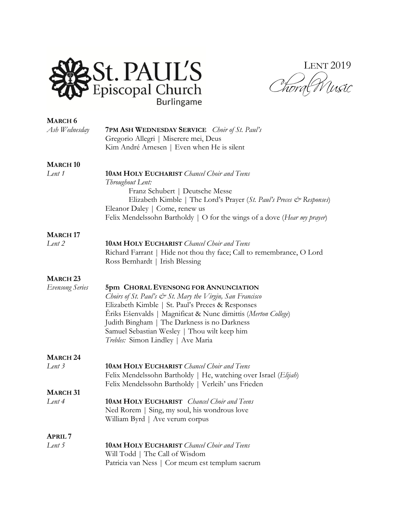

LENT 2019 Chora (W '<br>Ursic

| <b>MARCH 6</b>         |                                                                                                                       |
|------------------------|-----------------------------------------------------------------------------------------------------------------------|
| Ash Wednesday          | <b>7PM ASH WEDNESDAY SERVICE</b> <i>Choir of St. Paul's</i>                                                           |
|                        | Gregorio Allegri   Miserere mei, Deus                                                                                 |
|                        | Kim André Arnesen   Even when He is silent                                                                            |
| <b>MARCH 10</b>        |                                                                                                                       |
| Lent 1                 | <b>10AM HOLY EUCHARIST</b> Chancel Choir and Teens                                                                    |
|                        | Throughout Lent:                                                                                                      |
|                        | Franz Schubert   Deutsche Messe                                                                                       |
|                        | Elizabeth Kimble   The Lord's Prayer (St. Paul's Preces & Responses)                                                  |
|                        | Eleanor Daley   Come, renew us<br>Felix Mendelssohn Bartholdy   O for the wings of a dove (Hear my prayer)            |
|                        |                                                                                                                       |
| <b>MARCH 17</b>        |                                                                                                                       |
| Lent $2$               | <b>10AM HOLY EUCHARIST</b> Chancel Choir and Teens                                                                    |
|                        | Richard Farrant   Hide not thou thy face; Call to remembrance, O Lord                                                 |
|                        | Ross Bernhardt   Irish Blessing                                                                                       |
| <b>MARCH 23</b>        |                                                                                                                       |
| <b>Evensong Series</b> | 5pm CHORAL EVENSONG FOR ANNUNCIATION                                                                                  |
|                        | Choirs of St. Paul's $\mathcal{Q}$ St. Mary the Virgin, San Francisco                                                 |
|                        | Elizabeth Kimble   St. Paul's Preces & Responses                                                                      |
|                        | Eriks Ešenvalds   Magnificat & Nunc dimittis (Merton College)                                                         |
|                        | Judith Bingham   The Darkness is no Darkness<br>Samuel Sebastian Wesley   Thou wilt keep him                          |
|                        | Trebles: Simon Lindley   Ave Maria                                                                                    |
|                        |                                                                                                                       |
| <b>MARCH 24</b>        |                                                                                                                       |
| Lent 3                 | <b>10AM HOLY EUCHARIST</b> Chancel Choir and Teens                                                                    |
|                        | Felix Mendelssohn Bartholdy   He, watching over Israel (Elijah)<br>Felix Mendelssohn Bartholdy   Verleih' uns Frieden |
| <b>MARCH 31</b>        |                                                                                                                       |
| Lent 4                 | <b>10AM HOLY EUCHARIST</b> Chancel Choir and Teens                                                                    |
|                        | Ned Rorem   Sing, my soul, his wondrous love                                                                          |
|                        | William Byrd   Ave verum corpus                                                                                       |
| <b>APRIL 7</b>         |                                                                                                                       |
| Lent $5$               | <b>10AM HOLY EUCHARIST</b> Chancel Choir and Teens                                                                    |
|                        | Will Todd   The Call of Wisdom                                                                                        |
|                        | Patricia van Ness   Cor meum est templum sacrum                                                                       |
|                        |                                                                                                                       |